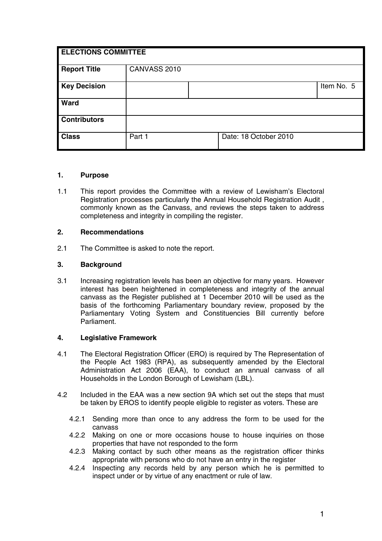| <b>ELECTIONS COMMITTEE</b> |              |  |                       |            |  |
|----------------------------|--------------|--|-----------------------|------------|--|
| <b>Report Title</b>        | CANVASS 2010 |  |                       |            |  |
| <b>Key Decision</b>        |              |  |                       | Item No. 5 |  |
| Ward                       |              |  |                       |            |  |
| <b>Contributors</b>        |              |  |                       |            |  |
| <b>Class</b>               | Part 1       |  | Date: 18 October 2010 |            |  |

#### **1. Purpose**

1.1 This report provides the Committee with a review of Lewisham's Electoral Registration processes particularly the Annual Household Registration Audit , commonly known as the Canvass, and reviews the steps taken to address completeness and integrity in compiling the register.

#### **2. Recommendations**

2.1 The Committee is asked to note the report.

#### **3. Background**

3.1 Increasing registration levels has been an objective for many years. However interest has been heightened in completeness and integrity of the annual canvass as the Register published at 1 December 2010 will be used as the basis of the forthcoming Parliamentary boundary review, proposed by the Parliamentary Voting System and Constituencies Bill currently before Parliament.

## **4. Legislative Framework**

- 4.1 The Electoral Registration Officer (ERO) is required by The Representation of the People Act 1983 (RPA), as subsequently amended by the Electoral Administration Act 2006 (EAA), to conduct an annual canvass of all Households in the London Borough of Lewisham (LBL).
- 4.2 Included in the EAA was a new section 9A which set out the steps that must be taken by EROS to identify people eligible to register as voters. These are
	- 4.2.1 Sending more than once to any address the form to be used for the canvass
	- 4.2.2 Making on one or more occasions house to house inquiries on those properties that have not responded to the form
	- 4.2.3 Making contact by such other means as the registration officer thinks appropriate with persons who do not have an entry in the register
	- 4.2.4 Inspecting any records held by any person which he is permitted to inspect under or by virtue of any enactment or rule of law.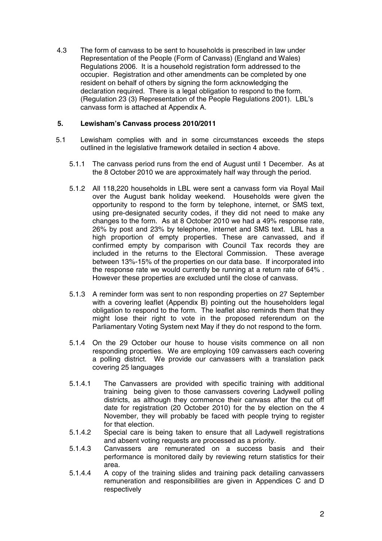4.3 The form of canvass to be sent to households is prescribed in law under Representation of the People (Form of Canvass) (England and Wales) Regulations 2006. It is a household registration form addressed to the occupier. Registration and other amendments can be completed by one resident on behalf of others by signing the form acknowledging the declaration required. There is a legal obligation to respond to the form. (Regulation 23 (3) Representation of the People Regulations 2001). LBL's canvass form is attached at Appendix A.

## **5. Lewisham's Canvass process 2010/2011**

- 5.1 Lewisham complies with and in some circumstances exceeds the steps outlined in the legislative framework detailed in section 4 above.
	- 5.1.1 The canvass period runs from the end of August until 1 December. As at the 8 October 2010 we are approximately half way through the period.
	- 5.1.2 All 118,220 households in LBL were sent a canvass form via Royal Mail over the August bank holiday weekend. Households were given the opportunity to respond to the form by telephone, internet, or SMS text, using pre-designated security codes, if they did not need to make any changes to the form. As at 8 October 2010 we had a 49% response rate, 26% by post and 23% by telephone, internet and SMS text. LBL has a high proportion of empty properties. These are canvassed, and if confirmed empty by comparison with Council Tax records they are included in the returns to the Electoral Commission. These average between 13%-15% of the properties on our data base. If incorporated into the response rate we would currently be running at a return rate of 64% . However these properties are excluded until the close of canvass.
	- 5.1.3 A reminder form was sent to non responding properties on 27 September with a covering leaflet (Appendix B) pointing out the householders legal obligation to respond to the form. The leaflet also reminds them that they might lose their right to vote in the proposed referendum on the Parliamentary Voting System next May if they do not respond to the form.
	- 5.1.4 On the 29 October our house to house visits commence on all non responding properties. We are employing 109 canvassers each covering a polling district. We provide our canvassers with a translation pack covering 25 languages
	- 5.1.4.1 The Canvassers are provided with specific training with additional training being given to those canvassers covering Ladywell polling districts, as although they commence their canvass after the cut off date for registration (20 October 2010) for the by election on the 4 November, they will probably be faced with people trying to register for that election.
	- 5.1.4.2 Special care is being taken to ensure that all Ladywell registrations and absent voting requests are processed as a priority.
	- 5.1.4.3 Canvassers are remunerated on a success basis and their performance is monitored daily by reviewing return statistics for their area.
	- 5.1.4.4 A copy of the training slides and training pack detailing canvassers remuneration and responsibilities are given in Appendices C and D respectively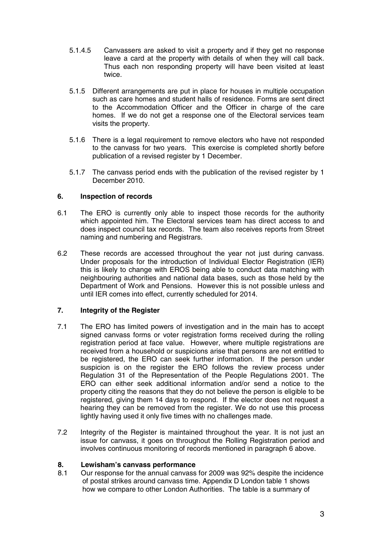- 5.1.4.5 Canvassers are asked to visit a property and if they get no response leave a card at the property with details of when they will call back. Thus each non responding property will have been visited at least twice.
- 5.1.5 Different arrangements are put in place for houses in multiple occupation such as care homes and student halls of residence. Forms are sent direct to the Accommodation Officer and the Officer in charge of the care homes. If we do not get a response one of the Electoral services team visits the property.
- 5.1.6 There is a legal requirement to remove electors who have not responded to the canvass for two years. This exercise is completed shortly before publication of a revised register by 1 December.
- 5.1.7 The canvass period ends with the publication of the revised register by 1 December 2010.

# **6. Inspection of records**

- 6.1 The ERO is currently only able to inspect those records for the authority which appointed him. The Electoral services team has direct access to and does inspect council tax records. The team also receives reports from Street naming and numbering and Registrars.
- 6.2 These records are accessed throughout the year not just during canvass. Under proposals for the introduction of Individual Elector Registration (IER) this is likely to change with EROS being able to conduct data matching with neighbouring authorities and national data bases, such as those held by the Department of Work and Pensions. However this is not possible unless and until IER comes into effect, currently scheduled for 2014.

## **7. Integrity of the Register**

- 7.1 The ERO has limited powers of investigation and in the main has to accept signed canvass forms or voter registration forms received during the rolling registration period at face value. However, where multiple registrations are received from a household or suspicions arise that persons are not entitled to be registered, the ERO can seek further information. If the person under suspicion is on the register the ERO follows the review process under Regulation 31 of the Representation of the People Regulations 2001. The ERO can either seek additional information and/or send a notice to the property citing the reasons that they do not believe the person is eligible to be registered, giving them 14 days to respond. If the elector does not request a hearing they can be removed from the register. We do not use this process lightly having used it only five times with no challenges made.
- 7.2 Integrity of the Register is maintained throughout the year. It is not just an issue for canvass, it goes on throughout the Rolling Registration period and involves continuous monitoring of records mentioned in paragraph 6 above.

## **8. Lewisham's canvass performance**

8.1 Our response for the annual canvass for 2009 was 92% despite the incidence of postal strikes around canvass time. Appendix D London table 1 shows how we compare to other London Authorities. The table is a summary of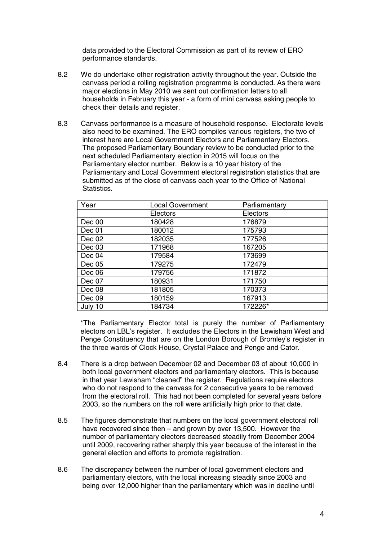data provided to the Electoral Commission as part of its review of ERO performance standards.

- 8.2 We do undertake other registration activity throughout the year. Outside the canvass period a rolling registration programme is conducted. As there were major elections in May 2010 we sent out confirmation letters to all households in February this year - a form of mini canvass asking people to check their details and register.
- 8.3 Canvass performance is a measure of household response. Electorate levels also need to be examined. The ERO compiles various registers, the two of interest here are Local Government Electors and Parliamentary Electors. The proposed Parliamentary Boundary review to be conducted prior to the next scheduled Parliamentary election in 2015 will focus on the Parliamentary elector number. Below is a 10 year history of the Parliamentary and Local Government electoral registration statistics that are submitted as of the close of canvass each year to the Office of National **Statistics**

| Year    | <b>Local Government</b> | Parliamentary |
|---------|-------------------------|---------------|
|         | Electors                | Electors      |
| Dec 00  | 180428                  | 176879        |
| Dec 01  | 180012                  | 175793        |
| Dec 02  | 182035                  | 177526        |
| Dec 03  | 171968                  | 167205        |
| Dec 04  | 179584                  | 173699        |
| Dec 05  | 179275                  | 172479        |
| Dec 06  | 179756                  | 171872        |
| Dec 07  | 180931                  | 171750        |
| Dec 08  | 181805                  | 170373        |
| Dec 09  | 180159                  | 167913        |
| July 10 | 184734                  | 172226*       |

\*The Parliamentary Elector total is purely the number of Parliamentary electors on LBL's register. It excludes the Electors in the Lewisham West and Penge Constituency that are on the London Borough of Bromley's register in the three wards of Clock House, Crystal Palace and Penge and Cator.

- 8.4 There is a drop between December 02 and December 03 of about 10,000 in both local government electors and parliamentary electors. This is because in that year Lewisham "cleaned" the register. Regulations require electors who do not respond to the canvass for 2 consecutive years to be removed from the electoral roll. This had not been completed for several years before 2003, so the numbers on the roll were artificially high prior to that date.
- 8.5 The figures demonstrate that numbers on the local government electoral roll have recovered since then – and grown by over 13,500. However the number of parliamentary electors decreased steadily from December 2004 until 2009, recovering rather sharply this year because of the interest in the general election and efforts to promote registration.
- 8.6 The discrepancy between the number of local government electors and parliamentary electors, with the local increasing steadily since 2003 and being over 12,000 higher than the parliamentary which was in decline until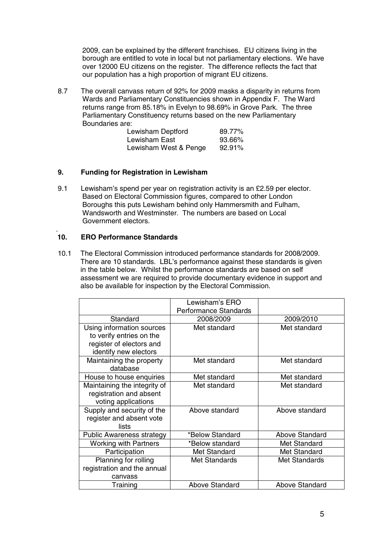2009, can be explained by the different franchises. EU citizens living in the borough are entitled to vote in local but not parliamentary elections. We have over 12000 EU citizens on the register. The difference reflects the fact that our population has a high proportion of migrant EU citizens.

8.7 The overall canvass return of 92% for 2009 masks a disparity in returns from Wards and Parliamentary Constituencies shown in Appendix F. The Ward returns range from 85.18% in Evelyn to 98.69% in Grove Park. The three Parliamentary Constituency returns based on the new Parliamentary Boundaries are:

| Lewisham Deptford     | 89.77%    |
|-----------------------|-----------|
| Lewisham East         | 93.66%    |
| Lewisham West & Penge | $92.91\%$ |

# **9. Funding for Registration in Lewisham**

9.1 Lewisham's spend per year on registration activity is an £2.59 per elector. Based on Electoral Commission figures, compared to other London Boroughs this puts Lewisham behind only Hammersmith and Fulham, Wandsworth and Westminster. The numbers are based on Local Government electors.

#### . **10. ERO Performance Standards**

10.1 The Electoral Commission introduced performance standards for 2008/2009. There are 10 standards. LBL's performance against these standards is given in the table below. Whilst the performance standards are based on self assessment we are required to provide documentary evidence in support and also be available for inspection by the Electoral Commission.

|                                                                                                            | Lewisham's ERO<br><b>Performance Standards</b> |                       |
|------------------------------------------------------------------------------------------------------------|------------------------------------------------|-----------------------|
| Standard                                                                                                   | 2008/2009                                      | 2009/2010             |
| Using information sources<br>to verify entries on the<br>register of electors and<br>identify new electors | Met standard                                   | Met standard          |
| Maintaining the property<br>database                                                                       | Met standard                                   | Met standard          |
| House to house enquiries                                                                                   | Met standard                                   | Met standard          |
| Maintaining the integrity of<br>registration and absent<br>voting applications                             | Met standard                                   | Met standard          |
| Supply and security of the<br>register and absent vote<br>lists                                            | Above standard                                 | Above standard        |
| <b>Public Awareness strategy</b>                                                                           | *Below Standard                                | <b>Above Standard</b> |
| <b>Working with Partners</b>                                                                               | *Below standard                                | <b>Met Standard</b>   |
| Participation                                                                                              | Met Standard                                   | <b>Met Standard</b>   |
| Planning for rolling<br>registration and the annual<br>canvass                                             | <b>Met Standards</b>                           | <b>Met Standards</b>  |
| Training                                                                                                   | <b>Above Standard</b>                          | <b>Above Standard</b> |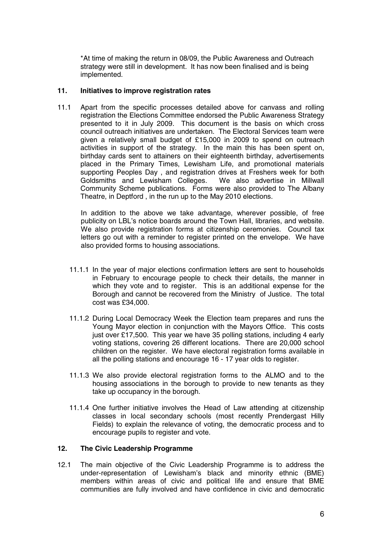\*At time of making the return in 08/09, the Public Awareness and Outreach strategy were still in development. It has now been finalised and is being implemented.

#### **11. Initiatives to improve registration rates**

11.1 Apart from the specific processes detailed above for canvass and rolling registration the Elections Committee endorsed the Public Awareness Strategy presented to it in July 2009. This document is the basis on which cross council outreach initiatives are undertaken. The Electoral Services team were given a relatively small budget of £15,000 in 2009 to spend on outreach activities in support of the strategy. In the main this has been spent on, birthday cards sent to attainers on their eighteenth birthday, advertisements placed in the Primary Times, Lewisham Life, and promotional materials supporting Peoples Day , and registration drives at Freshers week for both Goldsmiths and Lewisham Colleges. We also advertise in Millwall Community Scheme publications. Forms were also provided to The Albany Theatre, in Deptford , in the run up to the May 2010 elections.

In addition to the above we take advantage, wherever possible, of free publicity on LBL's notice boards around the Town Hall, libraries, and website. We also provide registration forms at citizenship ceremonies. Council tax letters go out with a reminder to register printed on the envelope. We have also provided forms to housing associations.

- 11.1.1 In the year of major elections confirmation letters are sent to households in February to encourage people to check their details, the manner in which they vote and to register. This is an additional expense for the Borough and cannot be recovered from the Ministry of Justice. The total cost was £34,000.
- 11.1.2 During Local Democracy Week the Election team prepares and runs the Young Mayor election in conjunction with the Mayors Office. This costs just over £17,500. This year we have 35 polling stations, including 4 early voting stations, covering 26 different locations. There are 20,000 school children on the register. We have electoral registration forms available in all the polling stations and encourage 16 - 17 year olds to register.
- 11.1.3 We also provide electoral registration forms to the ALMO and to the housing associations in the borough to provide to new tenants as they take up occupancy in the borough.
- 11.1.4 One further initiative involves the Head of Law attending at citizenship classes in local secondary schools (most recently Prendergast Hilly Fields) to explain the relevance of voting, the democratic process and to encourage pupils to register and vote.

## **12. The Civic Leadership Programme**

12.1 The main objective of the Civic Leadership Programme is to address the under-representation of Lewisham's black and minority ethnic (BME) members within areas of civic and political life and ensure that BME communities are fully involved and have confidence in civic and democratic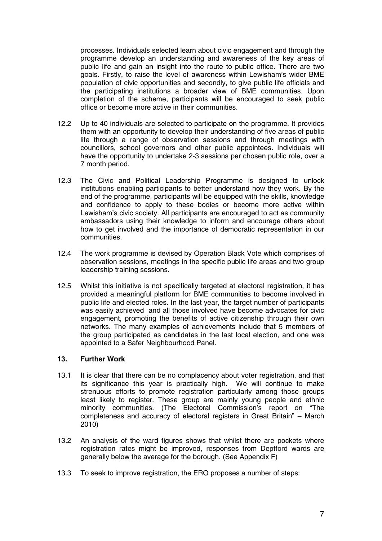processes. Individuals selected learn about civic engagement and through the programme develop an understanding and awareness of the key areas of public life and gain an insight into the route to public office. There are two goals. Firstly, to raise the level of awareness within Lewisham's wider BME population of civic opportunities and secondly, to give public life officials and the participating institutions a broader view of BME communities. Upon completion of the scheme, participants will be encouraged to seek public office or become more active in their communities.

- 12.2 Up to 40 individuals are selected to participate on the programme. It provides them with an opportunity to develop their understanding of five areas of public life through a range of observation sessions and through meetings with councillors, school governors and other public appointees. Individuals will have the opportunity to undertake 2-3 sessions per chosen public role, over a 7 month period.
- 12.3 The Civic and Political Leadership Programme is designed to unlock institutions enabling participants to better understand how they work. By the end of the programme, participants will be equipped with the skills, knowledge and confidence to apply to these bodies or become more active within Lewisham's civic society. All participants are encouraged to act as community ambassadors using their knowledge to inform and encourage others about how to get involved and the importance of democratic representation in our communities.
- 12.4 The work programme is devised by Operation Black Vote which comprises of observation sessions, meetings in the specific public life areas and two group leadership training sessions.
- 12.5 Whilst this initiative is not specifically targeted at electoral registration, it has provided a meaningful platform for BME communities to become involved in public life and elected roles. In the last year, the target number of participants was easily achieved and all those involved have become advocates for civic engagement, promoting the benefits of active citizenship through their own networks. The many examples of achievements include that 5 members of the group participated as candidates in the last local election, and one was appointed to a Safer Neighbourhood Panel.

## **13. Further Work**

- 13.1 It is clear that there can be no complacency about voter registration, and that its significance this year is practically high. We will continue to make strenuous efforts to promote registration particularly among those groups least likely to register. These group are mainly young people and ethnic minority communities. (The Electoral Commission's report on "The completeness and accuracy of electoral registers in Great Britain" – March 2010)
- 13.2 An analysis of the ward figures shows that whilst there are pockets where registration rates might be improved, responses from Deptford wards are generally below the average for the borough. (See Appendix F)
- 13.3 To seek to improve registration, the ERO proposes a number of steps: